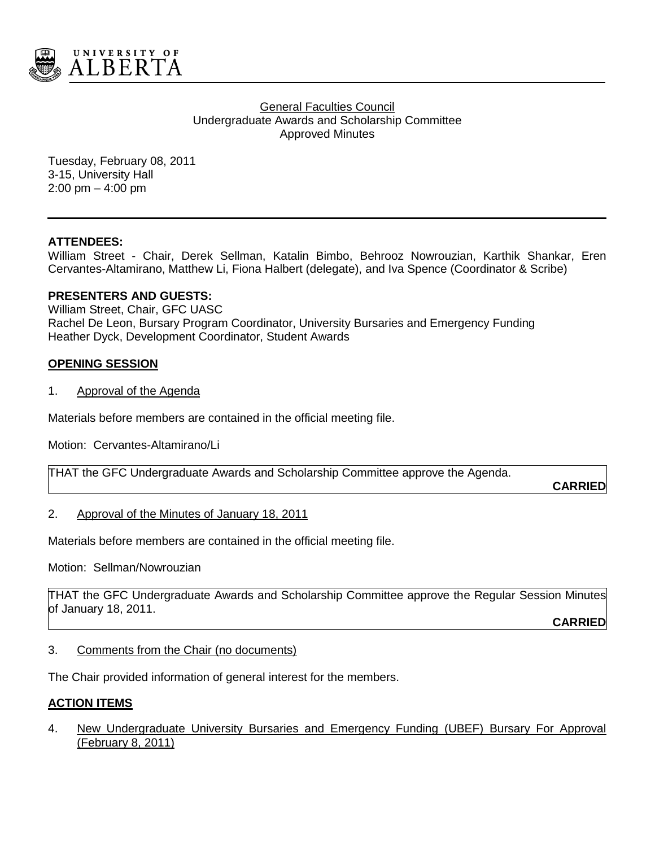

#### General Faculties Council Undergraduate Awards and Scholarship Committee Approved Minutes

Tuesday, February 08, 2011 3-15, University Hall 2:00 pm – 4:00 pm

#### **ATTENDEES:**

William Street - Chair, Derek Sellman, Katalin Bimbo, Behrooz Nowrouzian, Karthik Shankar, Eren Cervantes-Altamirano, Matthew Li, Fiona Halbert (delegate), and Iva Spence (Coordinator & Scribe)

#### **PRESENTERS AND GUESTS:**

William Street, Chair, GFC UASC Rachel De Leon, Bursary Program Coordinator, University Bursaries and Emergency Funding Heather Dyck, Development Coordinator, Student Awards

## **OPENING SESSION**

1. Approval of the Agenda

Materials before members are contained in the official meeting file.

Motion: Cervantes-Altamirano/Li

THAT the GFC Undergraduate Awards and Scholarship Committee approve the Agenda.

**CARRIED**

#### 2. Approval of the Minutes of January 18, 2011

Materials before members are contained in the official meeting file.

Motion: Sellman/Nowrouzian

THAT the GFC Undergraduate Awards and Scholarship Committee approve the Regular Session Minutes of January 18, 2011.

**CARRIED**

3. Comments from the Chair (no documents)

The Chair provided information of general interest for the members.

#### **ACTION ITEMS**

4. New Undergraduate University Bursaries and Emergency Funding (UBEF) Bursary For Approval (February 8, 2011)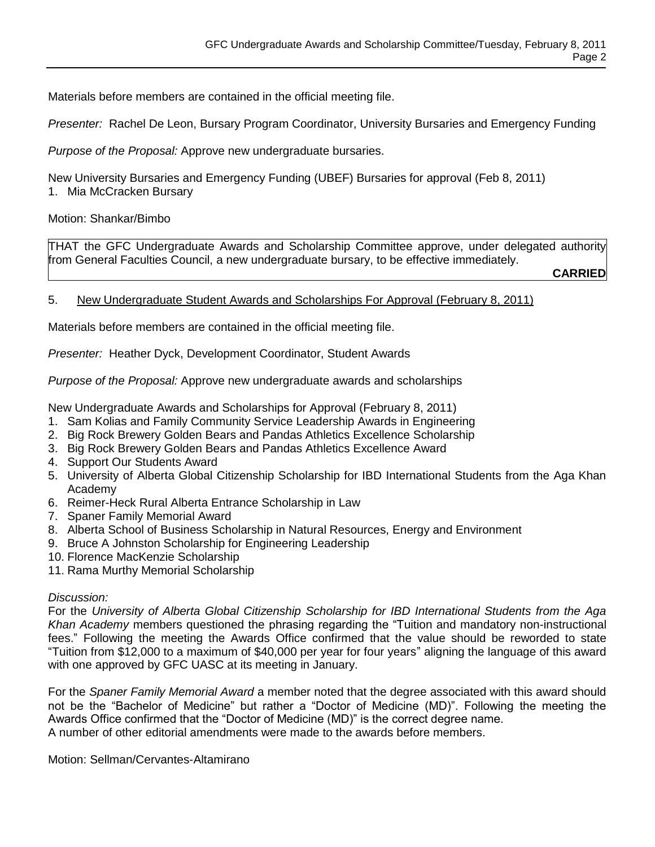Materials before members are contained in the official meeting file.

*Presenter:* Rachel De Leon, Bursary Program Coordinator, University Bursaries and Emergency Funding

*Purpose of the Proposal:* Approve new undergraduate bursaries.

New University Bursaries and Emergency Funding (UBEF) Bursaries for approval (Feb 8, 2011) 1. Mia McCracken Bursary

#### Motion: Shankar/Bimbo

THAT the GFC Undergraduate Awards and Scholarship Committee approve, under delegated authority from General Faculties Council, a new undergraduate bursary, to be effective immediately.

**CARRIED**

## 5. New Undergraduate Student Awards and Scholarships For Approval (February 8, 2011)

Materials before members are contained in the official meeting file.

*Presenter:* Heather Dyck, Development Coordinator, Student Awards

*Purpose of the Proposal:* Approve new undergraduate awards and scholarships

New Undergraduate Awards and Scholarships for Approval (February 8, 2011)

- 1. Sam Kolias and Family Community Service Leadership Awards in Engineering
- 2. Big Rock Brewery Golden Bears and Pandas Athletics Excellence Scholarship
- 3. Big Rock Brewery Golden Bears and Pandas Athletics Excellence Award
- 4. Support Our Students Award
- 5. University of Alberta Global Citizenship Scholarship for IBD International Students from the Aga Khan Academy
- 6. Reimer-Heck Rural Alberta Entrance Scholarship in Law
- 7. Spaner Family Memorial Award
- 8. Alberta School of Business Scholarship in Natural Resources, Energy and Environment
- 9. Bruce A Johnston Scholarship for Engineering Leadership
- 10. Florence MacKenzie Scholarship
- 11. Rama Murthy Memorial Scholarship

#### *Discussion:*

For the *University of Alberta Global Citizenship Scholarship for IBD International Students from the Aga Khan Academy* members questioned the phrasing regarding the "Tuition and mandatory non-instructional fees." Following the meeting the Awards Office confirmed that the value should be reworded to state "Tuition from \$12,000 to a maximum of \$40,000 per year for four years" aligning the language of this award with one approved by GFC UASC at its meeting in January.

For the *Spaner Family Memorial Award* a member noted that the degree associated with this award should not be the "Bachelor of Medicine" but rather a "Doctor of Medicine (MD)". Following the meeting the Awards Office confirmed that the "Doctor of Medicine (MD)" is the correct degree name. A number of other editorial amendments were made to the awards before members.

Motion: Sellman/Cervantes-Altamirano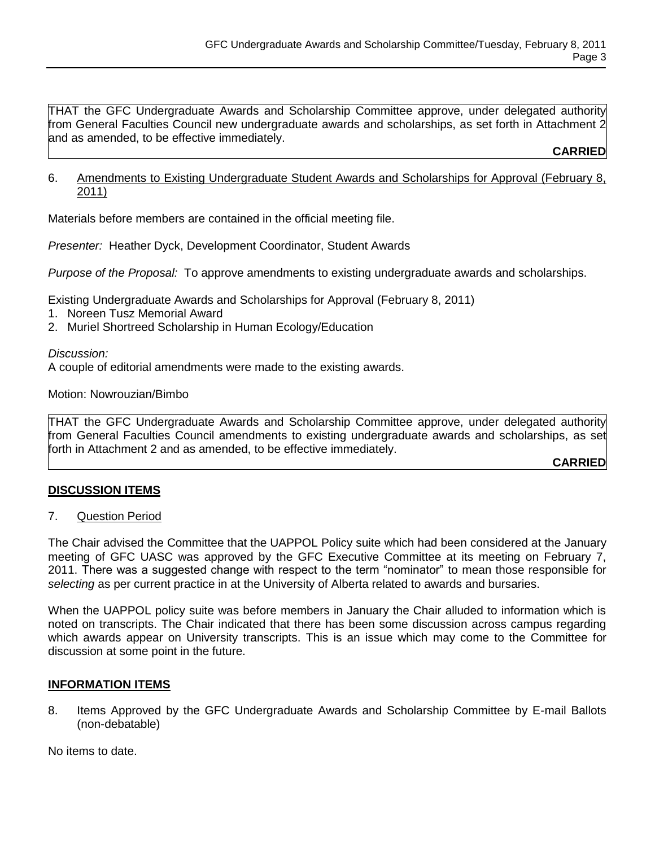THAT the GFC Undergraduate Awards and Scholarship Committee approve, under delegated authority from General Faculties Council new undergraduate awards and scholarships, as set forth in Attachment 2 and as amended, to be effective immediately.

**CARRIED**

6. Amendments to Existing Undergraduate Student Awards and Scholarships for Approval (February 8, 2011)

Materials before members are contained in the official meeting file.

*Presenter:* Heather Dyck, Development Coordinator, Student Awards

*Purpose of the Proposal:* To approve amendments to existing undergraduate awards and scholarships.

Existing Undergraduate Awards and Scholarships for Approval (February 8, 2011)

- 1. Noreen Tusz Memorial Award
- 2. Muriel Shortreed Scholarship in Human Ecology/Education

*Discussion:*

A couple of editorial amendments were made to the existing awards.

Motion: Nowrouzian/Bimbo

THAT the GFC Undergraduate Awards and Scholarship Committee approve, under delegated authority from General Faculties Council amendments to existing undergraduate awards and scholarships, as set forth in Attachment 2 and as amended, to be effective immediately.

#### **CARRIED**

#### **DISCUSSION ITEMS**

#### 7. Question Period

The Chair advised the Committee that the UAPPOL Policy suite which had been considered at the January meeting of GFC UASC was approved by the GFC Executive Committee at its meeting on February 7, 2011. There was a suggested change with respect to the term "nominator" to mean those responsible for *selecting* as per current practice in at the University of Alberta related to awards and bursaries.

When the UAPPOL policy suite was before members in January the Chair alluded to information which is noted on transcripts. The Chair indicated that there has been some discussion across campus regarding which awards appear on University transcripts. This is an issue which may come to the Committee for discussion at some point in the future.

#### **INFORMATION ITEMS**

8. Items Approved by the GFC Undergraduate Awards and Scholarship Committee by E-mail Ballots (non-debatable)

No items to date.